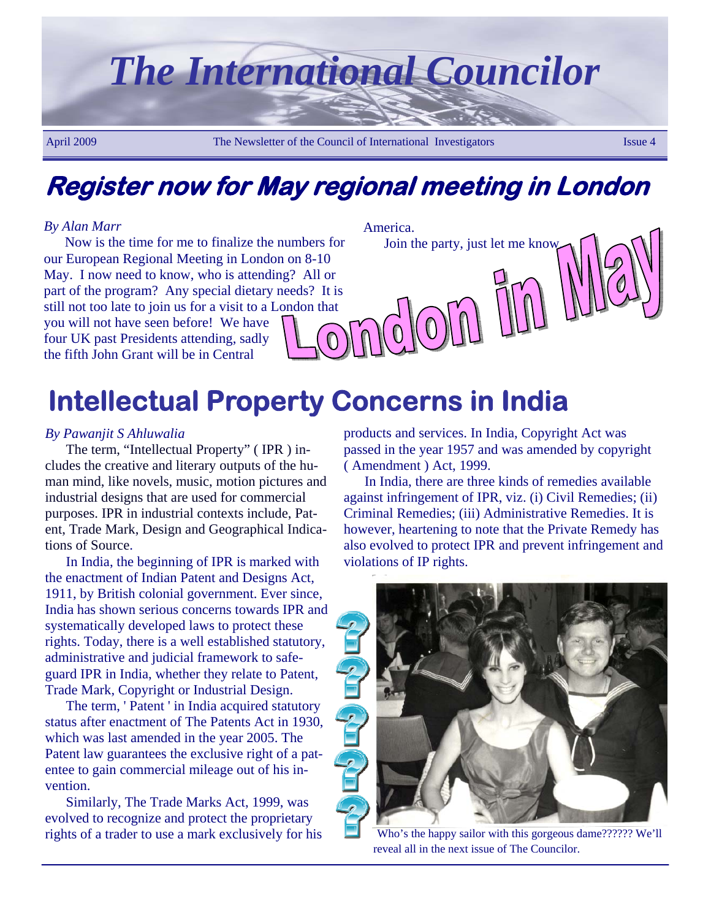

**Register now for May regional meeting in London** 

### *By Alan Marr*

Now is the time for me to finalize the numbers for our European Regional Meeting in London on 8-10 May. I now need to know, who is attending? All or part of the program? Any special dietary needs? It is still not too late to join us for a visit to a London that you will not have seen before! We have four UK past Presidents attending, sadly the fifth John Grant will be in Central

#### America.

 $(0)$ 

Join the party, just let me know.

# **Intellectual Property Concerns in India**

### *By Pawanjit S Ahluwalia*

The term, "Intellectual Property" ( IPR ) includes the creative and literary outputs of the human mind, like novels, music, motion pictures and industrial designs that are used for commercial purposes. IPR in industrial contexts include, Patent, Trade Mark, Design and Geographical Indications of Source.

In India, the beginning of IPR is marked with the enactment of Indian Patent and Designs Act, 1911, by British colonial government. Ever since, India has shown serious concerns towards IPR and systematically developed laws to protect these rights. Today, there is a well established statutory, administrative and judicial framework to safeguard IPR in India, whether they relate to Patent, Trade Mark, Copyright or Industrial Design.

The term, ' Patent ' in India acquired statutory status after enactment of The Patents Act in 1930, which was last amended in the year 2005. The Patent law guarantees the exclusive right of a patentee to gain commercial mileage out of his invention.

Similarly, The Trade Marks Act, 1999, was evolved to recognize and protect the proprietary rights of a trader to use a mark exclusively for his products and services. In India, Copyright Act was passed in the year 1957 and was amended by copyright ( Amendment ) Act, 1999.

In India, there are three kinds of remedies available against infringement of IPR, viz. (i) Civil Remedies; (ii) Criminal Remedies; (iii) Administrative Remedies. It is however, heartening to note that the Private Remedy has also evolved to protect IPR and prevent infringement and violations of IP rights.



Who's the happy sailor with this gorgeous dame?????? We'll reveal all in the next issue of The Councilor.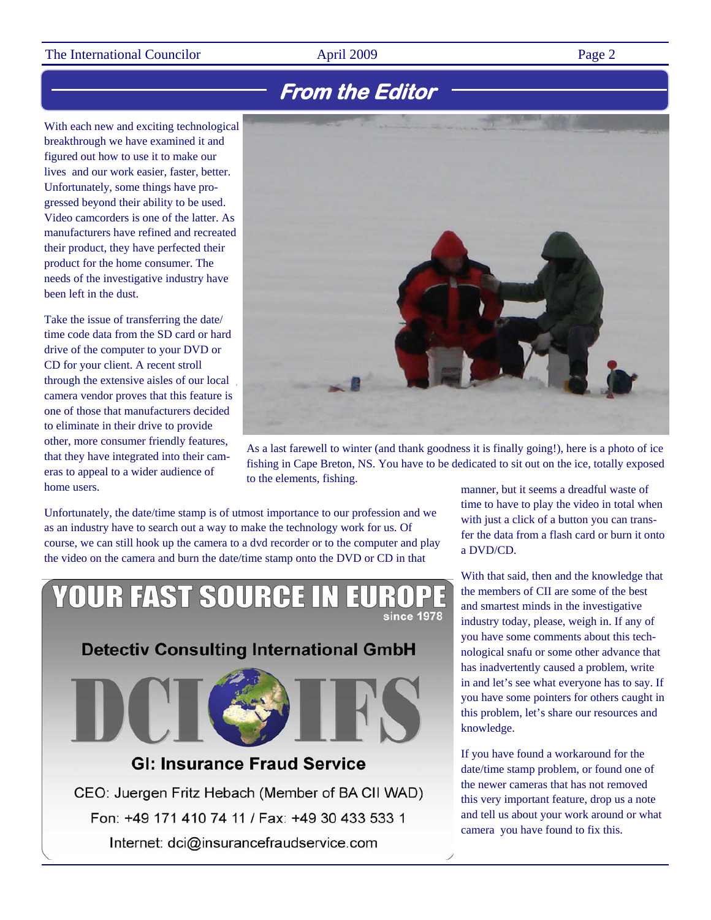### The International Councilor **April 2009** Page 2

### **From the Editor**

With each new and exciting technological breakthrough we have examined it and figured out how to use it to make our lives and our work easier, faster, better. Unfortunately, some things have progressed beyond their ability to be used. Video camcorders is one of the latter. As manufacturers have refined and recreated their product, they have perfected their product for the home consumer. The needs of the investigative industry have been left in the dust.

Take the issue of transferring the date/ time code data from the SD card or hard drive of the computer to your DVD or CD for your client. A recent stroll through the extensive aisles of our local camera vendor proves that this feature is one of those that manufacturers decided to eliminate in their drive to provide other, more consumer friendly features, that they have integrated into their cameras to appeal to a wider audience of home users.



As a last farewell to winter (and thank goodness it is finally going!), here is a photo of ice fishing in Cape Breton, NS. You have to be dedicated to sit out on the ice, totally exposed to the elements, fishing.

Unfortunately, the date/time stamp is of utmost importance to our profession and we as an industry have to search out a way to make the technology work for us. Of course, we can still hook up the camera to a dvd recorder or to the computer and play the video on the camera and burn the date/time stamp onto the DVD or CD in that

### **YOUR FAST SOURCE IN** since 1978

**Detectiv Consulting International GmbH** 



### **GI: Insurance Fraud Service**

CEO: Juergen Fritz Hebach (Member of BA CII WAD) Fon: +49 171 410 74 11 / Fax: +49 30 433 533 1 Internet: dci@insurancefraudservice.com

manner, but it seems a dreadful waste of time to have to play the video in total when with just a click of a button you can transfer the data from a flash card or burn it onto a DVD/CD.

With that said, then and the knowledge that the members of CII are some of the best and smartest minds in the investigative industry today, please, weigh in. If any of you have some comments about this technological snafu or some other advance that has inadvertently caused a problem, write in and let's see what everyone has to say. If you have some pointers for others caught in this problem, let's share our resources and knowledge.

If you have found a workaround for the date/time stamp problem, or found one of the newer cameras that has not removed this very important feature, drop us a note and tell us about your work around or what camera you have found to fix this.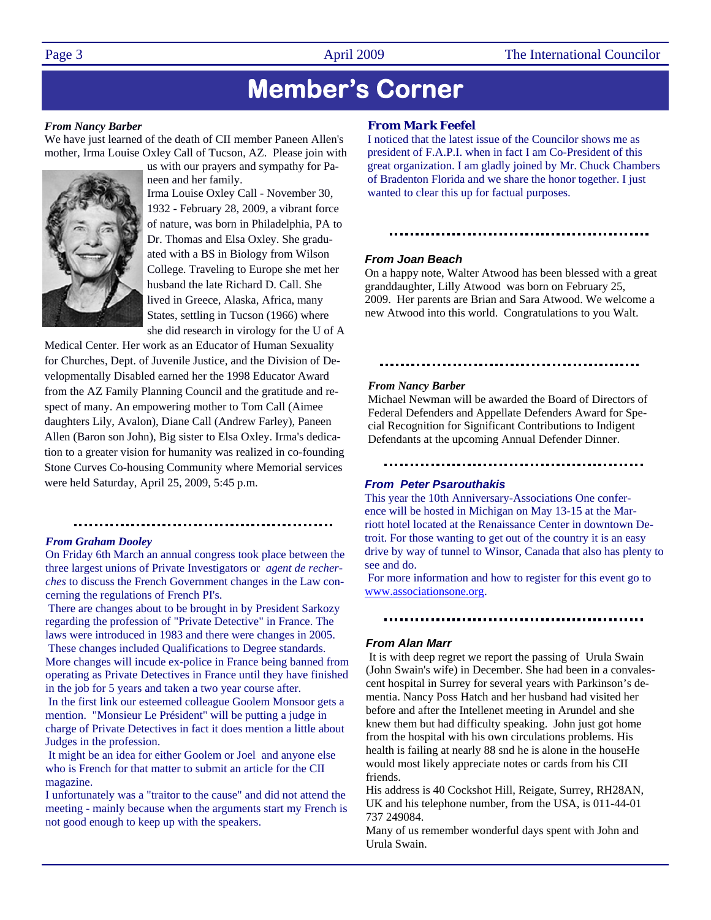## **Member's Corner**

#### *From Nancy Barber*

We have just learned of the death of CII member Paneen Allen's mother, Irma Louise Oxley Call of Tucson, AZ. Please join with



us with our prayers and sympathy for Paneen and her family.

Irma Louise Oxley Call - November 30, 1932 - February 28, 2009, a vibrant force of nature, was born in Philadelphia, PA to Dr. Thomas and Elsa Oxley. She graduated with a BS in Biology from Wilson College. Traveling to Europe she met her husband the late Richard D. Call. She lived in Greece, Alaska, Africa, many States, settling in Tucson (1966) where she did research in virology for the U of A

Medical Center. Her work as an Educator of Human Sexuality for Churches, Dept. of Juvenile Justice, and the Division of Developmentally Disabled earned her the 1998 Educator Award from the AZ Family Planning Council and the gratitude and respect of many. An empowering mother to Tom Call (Aimee daughters Lily, Avalon), Diane Call (Andrew Farley), Paneen Allen (Baron son John), Big sister to Elsa Oxley. Irma's dedication to a greater vision for humanity was realized in co-founding Stone Curves Co-housing Community where Memorial services were held Saturday, April 25, 2009, 5:45 p.m.

#### 

#### *From Graham Dooley*

On Friday 6th March an annual congress took place between the three largest unions of Private Investigators or *agent de recherches* to discuss the French Government changes in the Law concerning the regulations of French PI's.

 There are changes about to be brought in by President Sarkozy regarding the profession of "Private Detective" in France. The laws were introduced in 1983 and there were changes in 2005. These changes included Qualifications to Degree standards. More changes will incude ex-police in France being banned from operating as Private Detectives in France until they have finished in the job for 5 years and taken a two year course after.

 In the first link our esteemed colleague Goolem Monsoor gets a mention. "Monsieur Le Président" will be putting a judge in charge of Private Detectives in fact it does mention a little about Judges in the profession.

 It might be an idea for either Goolem or Joel and anyone else who is French for that matter to submit an article for the CII magazine.

I unfortunately was a "traitor to the cause" and did not attend the meeting - mainly because when the arguments start my French is not good enough to keep up with the speakers.

#### *From Mark Feefel*

I noticed that the latest issue of the Councilor shows me as president of F.A.P.I. when in fact I am Co-President of this great organization. I am gladly joined by Mr. Chuck Chambers of Bradenton Florida and we share the honor together. I just wanted to clear this up for factual purposes.

#### 

#### *From Joan Beach*

On a happy note, Walter Atwood has been blessed with a great granddaughter, Lilly Atwood was born on February 25, 2009. Her parents are Brian and Sara Atwood. We welcome a new Atwood into this world. Congratulations to you Walt.

#### 

#### *From Nancy Barber*

Michael Newman will be awarded the Board of Directors of Federal Defenders and Appellate Defenders Award for Special Recognition for Significant Contributions to Indigent Defendants at the upcoming Annual Defender Dinner.

#### *From Peter Psarouthakis*

This year the 10th Anniversary-Associations One conference will be hosted in Michigan on May 13-15 at the Marriott hotel located at the Renaissance Center in downtown Detroit. For those wanting to get out of the country it is an easy drive by way of tunnel to Winsor, Canada that also has plenty to see and do.

 For more information and how to register for this event go to www.associationsone.org.

#### *From Alan Marr*

It is with deep regret we report the passing of Urula Swain (John Swain's wife) in December. She had been in a convalescent hospital in Surrey for several years with Parkinson's dementia. Nancy Poss Hatch and her husband had visited her before and after the Intellenet meeting in Arundel and she knew them but had difficulty speaking. John just got home from the hospital with his own circulations problems. His health is failing at nearly 88 snd he is alone in the house He would most likely appreciate notes or cards from his CII friends.

His address is 40 Cockshot Hill, Reigate, Surrey, RH28AN, UK and his telephone number, from the USA, is 011-44-01 737 249084.

Many of us remember wonderful days spent with John and Urula Swain.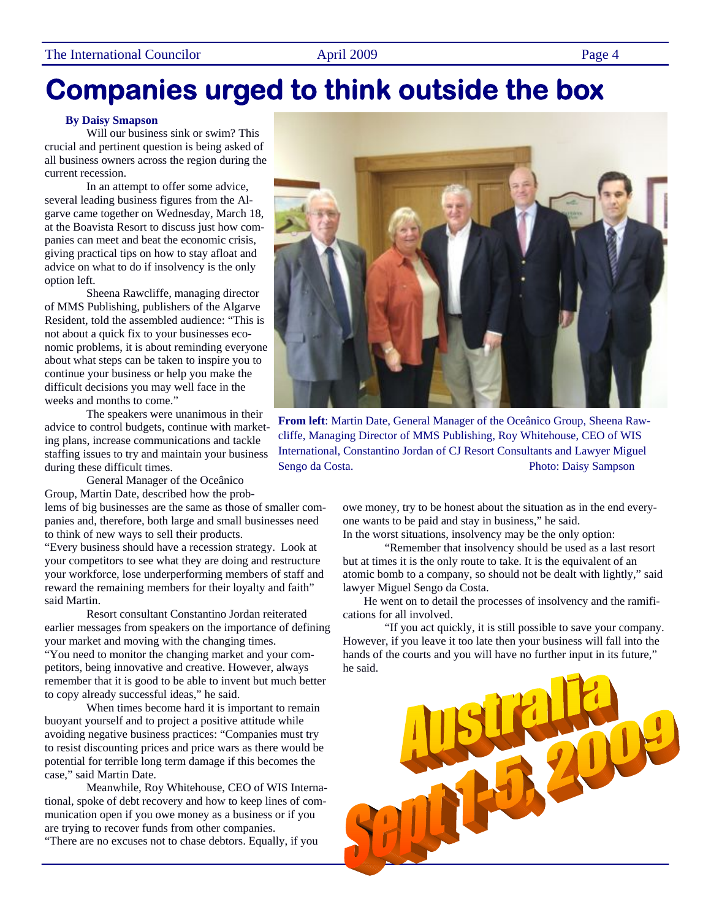# **Companies urged to think outside the box**

#### **By Daisy Smapson**

Will our business sink or swim? This crucial and pertinent question is being asked of all business owners across the region during the current recession.

 In an attempt to offer some advice, several leading business figures from the Algarve came together on Wednesday, March 18, at the Boavista Resort to discuss just how companies can meet and beat the economic crisis, giving practical tips on how to stay afloat and advice on what to do if insolvency is the only option left.

 Sheena Rawcliffe, managing director of MMS Publishing, publishers of the Algarve Resident, told the assembled audience: "This is not about a quick fix to your businesses economic problems, it is about reminding everyone about what steps can be taken to inspire you to continue your business or help you make the difficult decisions you may well face in the weeks and months to come."

 The speakers were unanimous in their advice to control budgets, continue with marketing plans, increase communications and tackle staffing issues to try and maintain your business during these difficult times.

 General Manager of the Oceânico Group, Martin Date, described how the prob-

lems of big businesses are the same as those of smaller companies and, therefore, both large and small businesses need to think of new ways to sell their products.

"Every business should have a recession strategy. Look at your competitors to see what they are doing and restructure your workforce, lose underperforming members of staff and reward the remaining members for their loyalty and faith" said Martin.

 Resort consultant Constantino Jordan reiterated earlier messages from speakers on the importance of defining your market and moving with the changing times. "You need to monitor the changing market and your competitors, being innovative and creative. However, always remember that it is good to be able to invent but much better

to copy already successful ideas," he said. When times become hard it is important to remain buoyant yourself and to project a positive attitude while avoiding negative business practices: "Companies must try to resist discounting prices and price wars as there would be potential for terrible long term damage if this becomes the case," said Martin Date.

 Meanwhile, Roy Whitehouse, CEO of WIS International, spoke of debt recovery and how to keep lines of communication open if you owe money as a business or if you are trying to recover funds from other companies.

"There are no excuses not to chase debtors. Equally, if you



**From left**: Martin Date, General Manager of the Oceânico Group, Sheena Rawcliffe, Managing Director of MMS Publishing, Roy Whitehouse, CEO of WIS International, Constantino Jordan of CJ Resort Consultants and Lawyer Miguel Sengo da Costa. Photo: Daisy Sampson

owe money, try to be honest about the situation as in the end everyone wants to be paid and stay in business," he said.

In the worst situations, insolvency may be the only option: "Remember that insolvency should be used as a last resort but at times it is the only route to take. It is the equivalent of an atomic bomb to a company, so should not be dealt with lightly," said lawyer Miguel Sengo da Costa.

He went on to detail the processes of insolvency and the ramifications for all involved.

 "If you act quickly, it is still possible to save your company. However, if you leave it too late then your business will fall into the hands of the courts and you will have no further input in its future," he said.

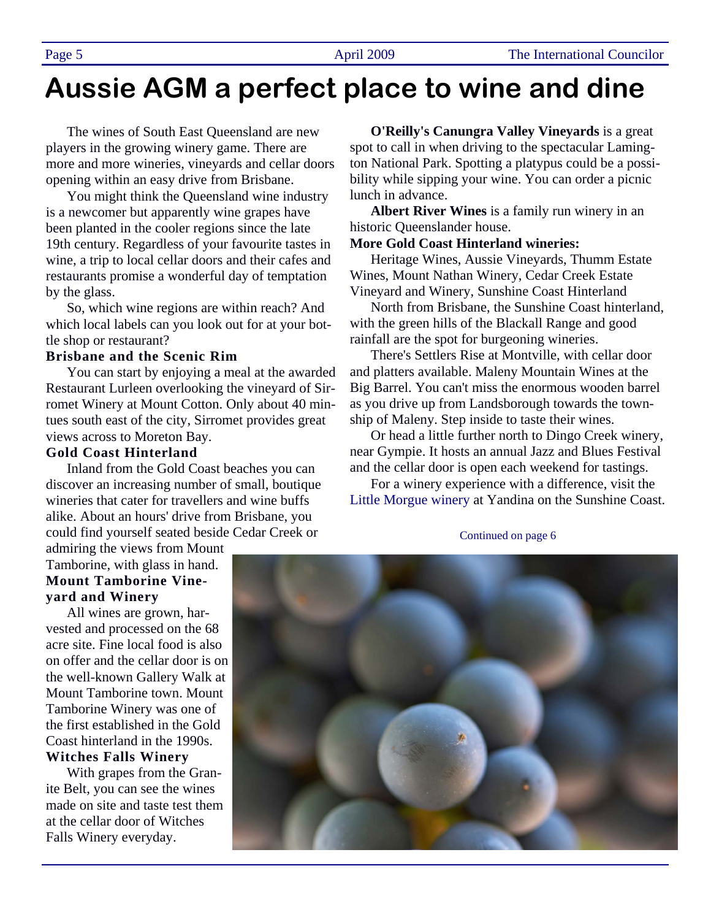# **Aussie AGM a perfect place to wine and dine**

The wines of South East Queensland are new players in the growing winery game. There are more and more wineries, vineyards and cellar doors opening within an easy drive from Brisbane.

You might think the Queensland wine industry is a newcomer but apparently wine grapes have been planted in the cooler regions since the late 19th century. Regardless of your favourite tastes in wine, a trip to local cellar doors and their cafes and restaurants promise a wonderful day of temptation by the glass.

So, which wine regions are within reach? And which local labels can you look out for at your bottle shop or restaurant?

### **Brisbane and the Scenic Rim**

You can start by enjoying a meal at the awarded Restaurant Lurleen overlooking the vineyard of Sirromet Winery at Mount Cotton. Only about 40 mintues south east of the city, Sirromet provides great views across to Moreton Bay.

#### **Gold Coast Hinterland**

Inland from the Gold Coast beaches you can discover an increasing number of small, boutique wineries that cater for travellers and wine buffs alike. About an hours' drive from Brisbane, you could find yourself seated beside Cedar Creek or

admiring the views from Mount Tamborine, with glass in hand. **Mount Tamborine Vineyard and Winery** 

All wines are grown, harvested and processed on the 68 acre site. Fine local food is also on offer and the cellar door is on the well-known Gallery Walk at Mount Tamborine town. Mount Tamborine Winery was one of the first established in the Gold Coast hinterland in the 1990s. **Witches Falls Winery** 

With grapes from the Granite Belt, you can see the wines made on site and taste test them at the cellar door of Witches Falls Winery everyday.

**O'Reilly's Canungra Valley Vineyards** is a great spot to call in when driving to the spectacular Lamington National Park. Spotting a platypus could be a possibility while sipping your wine. You can order a picnic lunch in advance.

**Albert River Wines** is a family run winery in an historic Queenslander house.

#### **More Gold Coast Hinterland wineries:**

Heritage Wines, Aussie Vineyards, Thumm Estate Wines, Mount Nathan Winery, Cedar Creek Estate Vineyard and Winery, Sunshine Coast Hinterland

North from Brisbane, the Sunshine Coast hinterland, with the green hills of the Blackall Range and good rainfall are the spot for burgeoning wineries.

There's Settlers Rise at Montville, with cellar door and platters available. Maleny Mountain Wines at the Big Barrel. You can't miss the enormous wooden barrel as you drive up from Landsborough towards the township of Maleny. Step inside to taste their wines.

Or head a little further north to Dingo Creek winery, near Gympie. It hosts an annual Jazz and Blues Festival and the cellar door is open each weekend for tastings.

For a winery experience with a difference, visit the Little Morgue winery at Yandina on the Sunshine Coast.

Continued on page 6

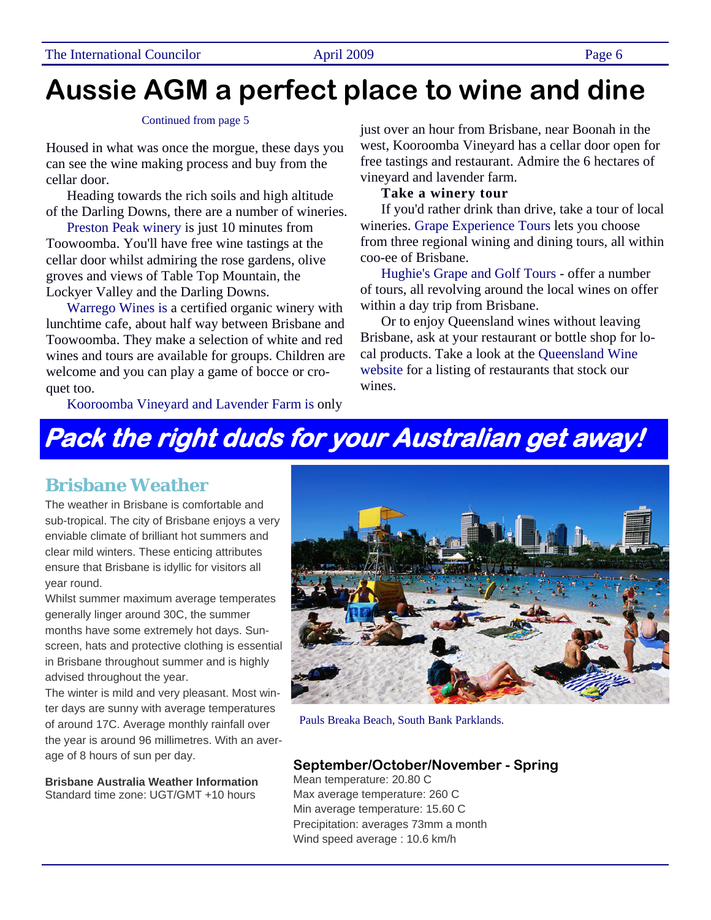# **Aussie AGM a perfect place to wine and dine**

#### Continued from page 5

Housed in what was once the morgue, these days you can see the wine making process and buy from the cellar door.

Heading towards the rich soils and high altitude of the Darling Downs, there are a number of wineries.

Preston Peak winery is just 10 minutes from Toowoomba. You'll have free wine tastings at the cellar door whilst admiring the rose gardens, olive groves and views of Table Top Mountain, the Lockyer Valley and the Darling Downs.

Warrego Wines is a certified organic winery with lunchtime cafe, about half way between Brisbane and Toowoomba. They make a selection of white and red wines and tours are available for groups. Children are welcome and you can play a game of bocce or croquet too.

Kooroomba Vineyard and Lavender Farm is only

just over an hour from Brisbane, near Boonah in the west, Kooroomba Vineyard has a cellar door open for free tastings and restaurant. Admire the 6 hectares of vineyard and lavender farm.

### **Take a winery tour**

If you'd rather drink than drive, take a tour of local wineries. Grape Experience Tours lets you choose from three regional wining and dining tours, all within coo-ee of Brisbane.

Hughie's Grape and Golf Tours - offer a number of tours, all revolving around the local wines on offer within a day trip from Brisbane.

Or to enjoy Queensland wines without leaving Brisbane, ask at your restaurant or bottle shop for local products. Take a look at the Queensland Wine website for a listing of restaurants that stock our wines.

## **Pack the right duds for your Australian get away!**

### **Brisbane Weather**

The weather in Brisbane is comfortable and sub-tropical. The city of Brisbane enjoys a very enviable climate of brilliant hot summers and clear mild winters. These enticing attributes ensure that Brisbane is idyllic for visitors all year round.

Whilst summer maximum average temperates generally linger around 30C, the summer months have some extremely hot days. Sunscreen, hats and protective clothing is essential in Brisbane throughout summer and is highly advised throughout the year.

The winter is mild and very pleasant. Most winter days are sunny with average temperatures of around 17C. Average monthly rainfall over the year is around 96 millimetres. With an average of 8 hours of sun per day.

**Brisbane Australia Weather Information** Standard time zone: UGT/GMT +10 hours



Pauls Breaka Beach, South Bank Parklands.

### **September/October/November - Spring**

Mean temperature: 20.80 C Max average temperature: 260 C Min average temperature: 15.60 C Precipitation: averages 73mm a month Wind speed average : 10.6 km/h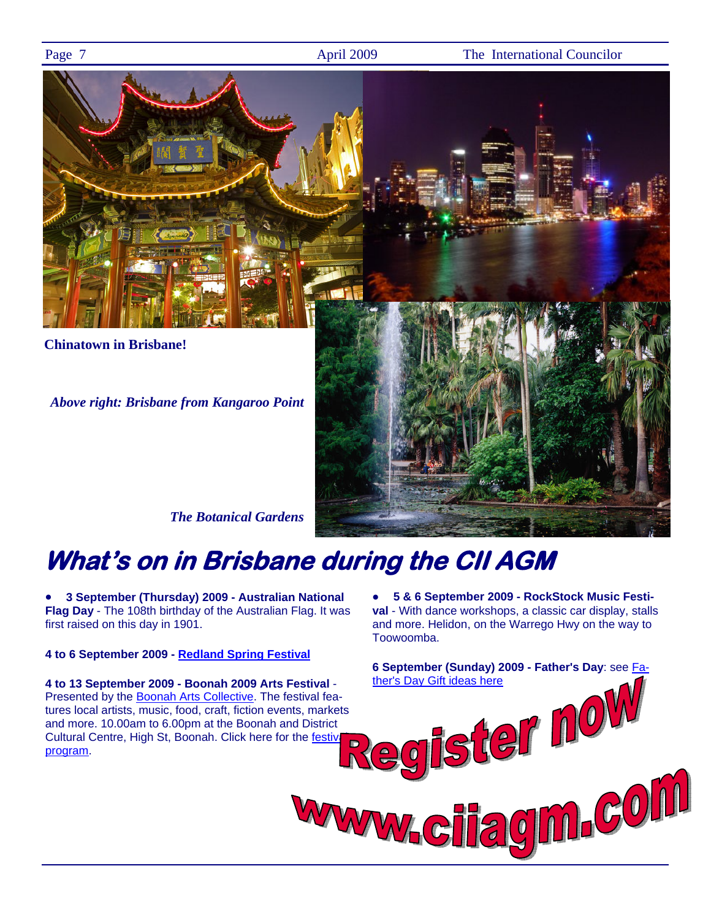Page 7 **April 2009** The International Councilor



# **What's on in Brisbane during the CII AGM**

• **3 September (Thursday) 2009 - Australian National Flag Day** - The 108th birthday of the Australian Flag. It was first raised on this day in 1901.

### **4 to 6 September 2009 - Redland Spring Festival**

**4 to 13 September 2009 - Boonah 2009 Arts Festival** - Presented by the Boonah Arts Collective. The festival features local artists, music, food, craft, fiction events, markets and more. 10.00am to 6.00pm at the Boonah and District Cultural Centre, High St, Boonah. Click here for the festivi program.

• **5 & 6 September 2009 - RockStock Music Festival** - With dance workshops, a classic car display, stalls and more. Helidon, on the Warrego Hwy on the way to Toowoomba.

**6 September (Sunday) 2009 - Father's Day**: see Father's Day Gift ideas here<br>egister now<br>w.citagim.con WWWW C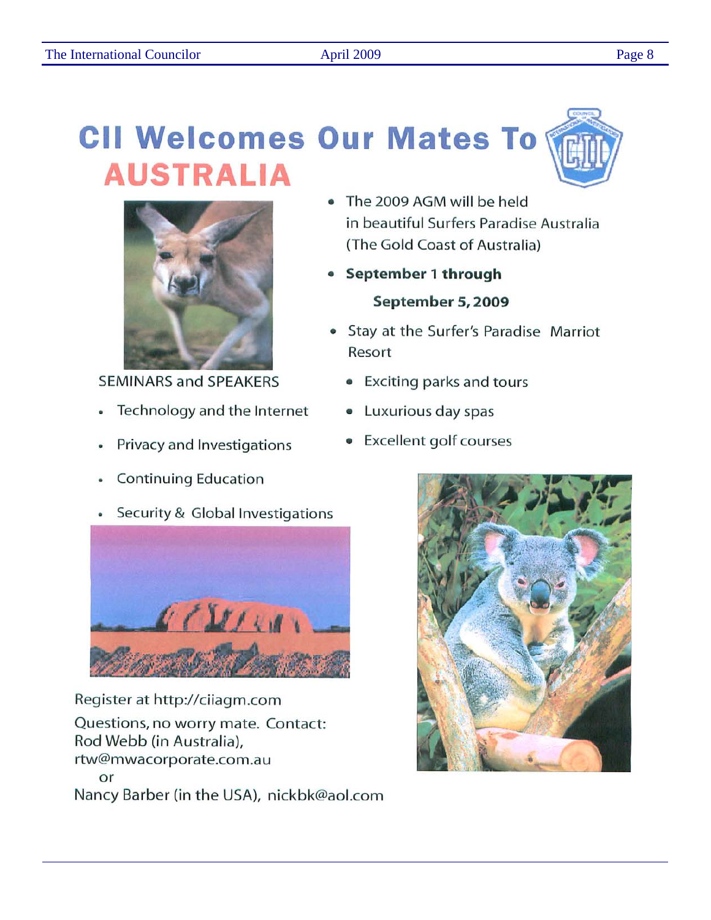# **CII Welcomes Our Mates To AUSTRALIA**



**SEMINARS and SPEAKERS** 

- Technology and the Internet  $\bullet$
- Privacy and Investigations
- **Continuing Education**
- Security & Global Investigations



Register at http://ciiagm.com Questions, no worry mate. Contact: Rod Webb (in Australia), rtw@mwacorporate.com.au or Nancy Barber (in the USA), nickbk@aol.com

- The 2009 AGM will be held in beautiful Surfers Paradise Australia (The Gold Coast of Australia)
- September 1 through September 5, 2009
- Stay at the Surfer's Paradise Marriot Resort
	- Exciting parks and tours
	- Luxurious day spas
	- **Excellent golf courses**



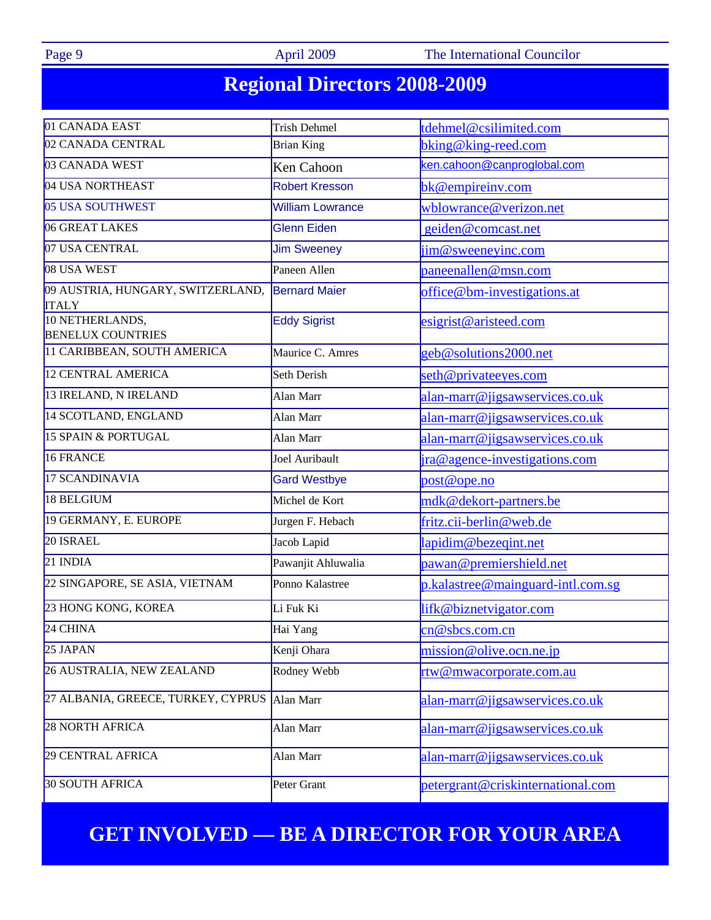Page 9 **April 2009** The International Councilor

## **Regional Directors 2008-2009**

| 01 CANADA EAST                                    | <b>Trish Dehmel</b>     | tdehmel@csilimited.com            |  |  |  |
|---------------------------------------------------|-------------------------|-----------------------------------|--|--|--|
| 02 CANADA CENTRAL                                 | <b>Brian King</b>       | bking@king-reed.com               |  |  |  |
| 03 CANADA WEST                                    | Ken Cahoon              | ken.cahoon@canproglobal.com       |  |  |  |
| 04 USA NORTHEAST                                  | <b>Robert Kresson</b>   | bk@empireinv.com                  |  |  |  |
| 05 USA SOUTHWEST                                  | <b>William Lowrance</b> | wblowrance@verizon.net            |  |  |  |
| 06 GREAT LAKES                                    | <b>Glenn Eiden</b>      | geiden@comcast.net                |  |  |  |
| 07 USA CENTRAL                                    | <b>Jim Sweeney</b>      | jim@sweeneyinc.com                |  |  |  |
| 08 USA WEST                                       | Paneen Allen            | paneenallen@msn.com               |  |  |  |
| 09 AUSTRIA, HUNGARY, SWITZERLAND,<br><b>ITALY</b> | <b>Bernard Maier</b>    | office@bm-investigations.at       |  |  |  |
| 10 NETHERLANDS,<br><b>BENELUX COUNTRIES</b>       | <b>Eddy Sigrist</b>     | esigrist@aristeed.com             |  |  |  |
| 11 CARIBBEAN, SOUTH AMERICA                       | Maurice C. Amres        | geb@solutions2000.net             |  |  |  |
| <b>12 CENTRAL AMERICA</b>                         | Seth Derish             | seth@privateeyes.com              |  |  |  |
| 13 IRELAND, N IRELAND                             | Alan Marr               | alan-marr@jigsawservices.co.uk    |  |  |  |
| 14 SCOTLAND, ENGLAND                              | Alan Marr               | alan-marr@jigsawservices.co.uk    |  |  |  |
| <b>15 SPAIN &amp; PORTUGAL</b>                    | Alan Marr               | alan-marr@jigsawservices.co.uk    |  |  |  |
| 16 FRANCE                                         | Joel Auribault          | ira@agence-investigations.com     |  |  |  |
| 17 SCANDINAVIA                                    | <b>Gard Westbye</b>     | post@ope.no                       |  |  |  |
| 18 BELGIUM                                        | Michel de Kort          | mdk@dekort-partners.be            |  |  |  |
| 19 GERMANY, E. EUROPE                             | Jurgen F. Hebach        | fritz.cii-berlin@web.de           |  |  |  |
| 20 ISRAEL                                         | Jacob Lapid             | lapidim@bezeqint.net              |  |  |  |
| 21 INDIA                                          | Pawanjit Ahluwalia      | pawan@premiershield.net           |  |  |  |
| 22 SINGAPORE, SE ASIA, VIETNAM                    | Ponno Kalastree         | p.kalastree@mainguard-intl.com.sg |  |  |  |
| 23 HONG KONG, KOREA                               | Li Fuk Ki               | lifk@biznetvigator.com            |  |  |  |
| $24$ CHINA                                        | Hai Yang                | cn@sbcs.comcn                     |  |  |  |
| 25 JAPAN                                          | Kenji Ohara             | mission@olive.ocn.ne.jp           |  |  |  |
| 26 AUSTRALIA, NEW ZEALAND                         | Rodney Webb             | rtw@mwacorporate.com.au           |  |  |  |
| 27 ALBANIA, GREECE, TURKEY, CYPRUS                | Alan Marr               | alan-marr@jigsawservices.co.uk    |  |  |  |
| 28 NORTH AFRICA                                   | Alan Marr               | alan-marr@jigsawservices.co.uk    |  |  |  |
| 29 CENTRAL AFRICA                                 | Alan Marr               | alan-marr@jigsawservices.co.uk    |  |  |  |
| 30 SOUTH AFRICA                                   | Peter Grant             | petergrant@criskinternational.com |  |  |  |

## **GET INVOLVED — BE A DIRECTOR FOR YOUR AREA**